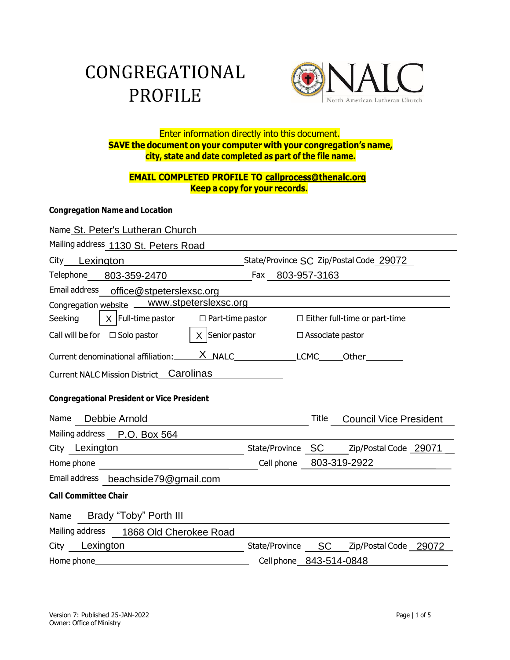# CONGREGATIONAL PROFILE



# Enter information directly into this document. **SAVE the document on your computer with your congregation's name, city, state and date completed as part of the file name.**

# **EMAIL COMPLETED PROFILE TO [callprocess@thenalc.org](mailto:EMAILCOMPLETEDPROFILETOcallprocess@thenalc.org) Keep a copy for your records.**

#### **Congregation Name and Location**

| Name St. Peter's Lutheran Church                         |                  |                    |                                         |  |
|----------------------------------------------------------|------------------|--------------------|-----------------------------------------|--|
| Mailing address 1130 St. Peters Road                     |                  |                    |                                         |  |
| City Lexington                                           |                  |                    | State/Province SC Zip/Postal Code 29072 |  |
| Telephone 803-359-2470                                   | Fax 803-957-3163 |                    |                                         |  |
| Email address office@stpeterslexsc.org                   |                  |                    |                                         |  |
| Congregation website __ www.stpeterslexsc.org            |                  |                    |                                         |  |
| $X$ Full-time pastor $\Box$ Part-time pastor<br>Seeking  |                  |                    | $\Box$ Either full-time or part-time    |  |
| $X$ Senior pastor<br>Call will be for $\Box$ Solo pastor |                  | □ Associate pastor |                                         |  |
|                                                          |                  |                    |                                         |  |
| Current NALC Mission District Carolinas                  |                  |                    |                                         |  |
| <b>Congregational President or Vice President</b>        |                  |                    |                                         |  |
| Debbie Arnold<br>Name                                    |                  | Title              | <b>Council Vice President</b>           |  |
| Mailing address P.O. Box 564                             |                  |                    |                                         |  |
| City Lexington                                           |                  |                    | State/Province SC Zip/Postal Code 29071 |  |
| Home phone                                               |                  |                    | Cell phone 803-319-2922                 |  |
| Email address beachside79@gmail.com                      |                  |                    |                                         |  |
| <b>Call Committee Chair</b>                              |                  |                    |                                         |  |
| Brady "Toby" Porth III<br>Name                           |                  |                    |                                         |  |
| Mailing address 1868 Old Cherokee Road                   |                  |                    |                                         |  |
| City Lexington                                           | State/Province   | <b>SC</b>          | Zip/Postal Code 29072                   |  |
| Home phone                                               |                  |                    | Cell phone 843-514-0848                 |  |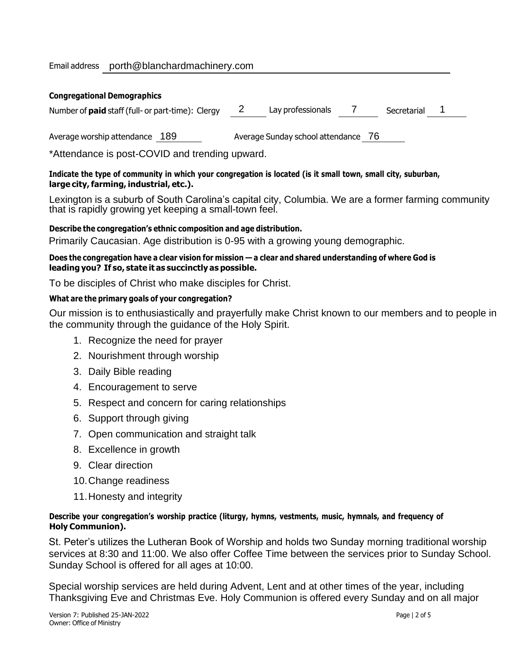#### Email address [porth@blanchardmachinery.com](mailto:porth@blanchardmachinery.com)

| <b>Congregational Demographics</b>                       |                                     |  |  |  |  |  |  |
|----------------------------------------------------------|-------------------------------------|--|--|--|--|--|--|
| Number of <b>paid</b> staff (full- or part-time): Clergy | Lay professionals<br>Secretarial    |  |  |  |  |  |  |
| Average worship attendance<br>-189                       | Average Sunday school attendance 76 |  |  |  |  |  |  |

\*Attendance is post-COVID and trending upward.

#### Indicate the type of community in which your congregation is located (is it small town, small city, suburban, **large city,farming, industrial, etc.).**

Lexington is a suburb of South Carolina's capital city, Columbia. We are a former farming community that is rapidly growing yet keeping a small-town feel.

#### **Describe the congregation's ethnic composition and age distribution.**

Primarily Caucasian. Age distribution is 0-95 with a growing young demographic.

#### Does the congregation have a clear vision for mission - a clear and shared understanding of where God is **leading you? If so, state it as succinctly as possible.**

To be disciples of Christ who make disciples for Christ.

#### **What are the primary goals of your congregation?**

Our mission is to enthusiastically and prayerfully make Christ known to our members and to people in the community through the guidance of the Holy Spirit.

- 1. Recognize the need for prayer
- 2. Nourishment through worship
- 3. Daily Bible reading
- 4. Encouragement to serve
- 5. Respect and concern for caring relationships
- 6. Support through giving
- 7. Open communication and straight talk
- 8. Excellence in growth
- 9. Clear direction
- 10.Change readiness
- 11.Honesty and integrity

#### **Describe your congregation's worship practice (liturgy, hymns, vestments, music, hymnals, and frequency of Holy Communion).**

St. Peter's utilizes the Lutheran Book of Worship and holds two Sunday morning traditional worship services at 8:30 and 11:00. We also offer Coffee Time between the services prior to Sunday School. Sunday School is offered for all ages at 10:00.

Special worship services are held during Advent, Lent and at other times of the year, including Thanksgiving Eve and Christmas Eve. Holy Communion is offered every Sunday and on all major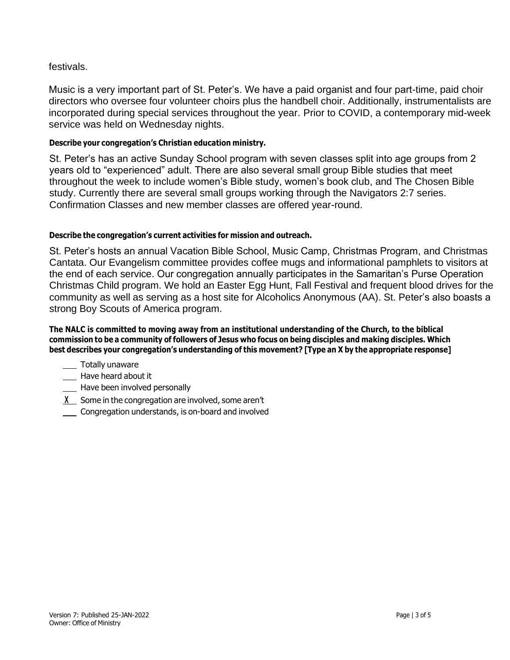# festivals.

Music is a very important part of St. Peter's. We have a paid organist and four part-time, paid choir directors who oversee four volunteer choirs plus the handbell choir. Additionally, instrumentalists are incorporated during special services throughout the year. Prior to COVID, a contemporary mid-week service was held on Wednesday nights.

# **Describe your congregation's Christian education ministry.**

St. Peter's has an active Sunday School program with seven classes split into age groups from 2 years old to "experienced" adult. There are also several small group Bible studies that meet throughout the week to include women's Bible study, women's book club, and The Chosen Bible study. Currently there are several small groups working through the Navigators 2:7 series. Confirmation Classes and new member classes are offered year-round.

# **Describe the congregation's current activities for mission and outreach.**

St. Peter's hosts an annual Vacation Bible School, Music Camp, Christmas Program, and Christmas Cantata. Our Evangelism committee provides coffee mugs and informational pamphlets to visitors at the end of each service. Our congregation annually participates in the Samaritan's Purse Operation Christmas Child program. We hold an Easter Egg Hunt, Fall Festival and frequent blood drives for the community as well as serving as a host site for Alcoholics Anonymous (AA). St. Peter's also boasts a strong Boy Scouts of America program.

**The NALC is committed to moving away from an institutional understanding of the Church, to the biblical** commission to be a community of followers of Jesus who focus on being disciples and making disciples. Which **best describes your congregation's understanding of this movement? [Type an X by the appropriate response]**

- \_\_ Totally unaware
- \_\_\_ Have heard about it
- **\_\_\_** Have been involved personally
- **X** Some in the congregation are involved, some aren't
- Congregation understands, is on-board and involved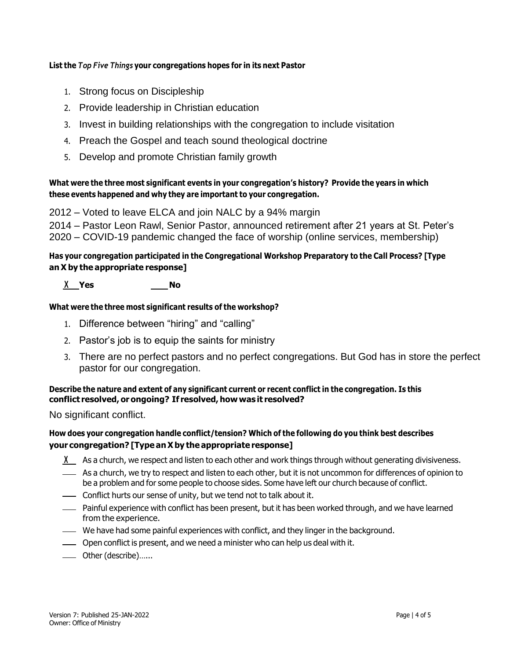#### **List the** *Top Five Things* **your congregations hopes for in its next Pastor**

- 1. Strong focus on Discipleship
- 2. Provide leadership in Christian education
- 3. Invest in building relationships with the congregation to include visitation
- 4. Preach the Gospel and teach sound theological doctrine
- 5. Develop and promote Christian family growth

# **What were the three most significant events in your congregation's history? Provide the years in which these events happened and why they are important to your congregation.**

2012 – Voted to leave ELCA and join NALC by a 94% margin

2014 – Pastor Leon Rawl, Senior Pastor, announced retirement after 21 years at St. Peter's 2020 – COVID-19 pandemic changed the face of worship (online services, membership)

# **Has your congregation participated in the Congregational Workshop Preparatory to the Call Process? [Type anX by the appropriate response]**

# **X Yes No**

#### **What were the three most significant results of the workshop?**

- 1. Difference between "hiring" and "calling"
- 2. Pastor's job is to equip the saints for ministry
- 3. There are no perfect pastors and no perfect congregations. But God has in store the perfect pastor for our congregation.

#### **Describe the nature and extent of any significant current or recent conflict in the congregation. Is this conflict resolved, or ongoing? If resolved,how was it resolved?**

No significant conflict.

# **How does your congregation handle conflict/tension? Which of the following do you think best describes your congregation? [Type anXby the appropriate response]**

- **X** As a church, we respect and listen to each other and work things through without generating divisiveness.
- As a church, we try to respect and listen to each other, but it is not uncommon for differences of opinion to be a problem and for some people to choose sides. Some have left our church because of conflict.
- Conflict hurts our sense of unity, but we tend not to talk about it.
- Painful experience with conflict has been present, but it has been worked through, and we have learned from the experience.
- We have had some painful experiences with conflict, and they linger in the background.
- Open conflict is present, and we need a minister who can help us deal with it.
- Other (describe)…...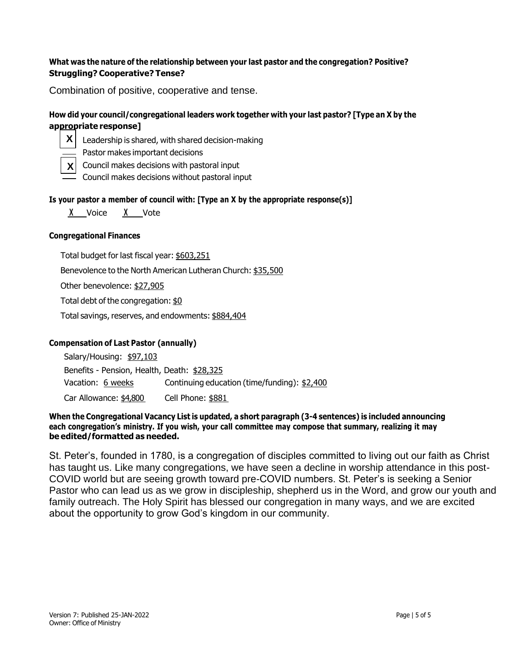#### **What was the nature of the relationship between your last pastor and the congregation? Positive? Struggling? Cooperative? Tense?**

Combination of positive, cooperative and tense.

# **How did your council/congregational leaders work together with your last pastor? [Type an X by the appropriate response]**



- Leadership is shared, with shared decision-making
- Pastor makes important decisions
- Council makes decisions with pastoral input **X**
	- Council makes decisions without pastoral input

#### **Is your pastor a member of council with: [Type an X by the appropriate response(s)]**

**X** Voice **X** Vote

#### **Congregational Finances**

Total budget for last fiscal year: \$603,251

Benevolence to the North American Lutheran Church: \$35,500

Other benevolence: \$27,905

Total debt of the congregation: \$0

Total savings, reserves, and endowments: \$884,404

#### **Compensation of Last Pastor (annually)**

| Salary/Housing: \$97,103                    |                                              |  |  |  |
|---------------------------------------------|----------------------------------------------|--|--|--|
| Benefits - Pension, Health, Death: \$28,325 |                                              |  |  |  |
| Vacation: 6 weeks                           | Continuing education (time/funding): \$2,400 |  |  |  |
| Car Allowance: \$4,800                      | Cell Phone: \$881                            |  |  |  |

#### **When the Congregational Vacancy List is updated, a short paragraph (3-4 sentences) is included announcing each congregation's ministry. If you wish, your call committee may compose that summary, realizing it may be edited/formatted as needed.**

St. Peter's, founded in 1780, is a congregation of disciples committed to living out our faith as Christ has taught us. Like many congregations, we have seen a decline in worship attendance in this post-COVID world but are seeing growth toward pre-COVID numbers. St. Peter's is seeking a Senior Pastor who can lead us as we grow in discipleship, shepherd us in the Word, and grow our youth and family outreach. The Holy Spirit has blessed our congregation in many ways, and we are excited about the opportunity to grow God's kingdom in our community.